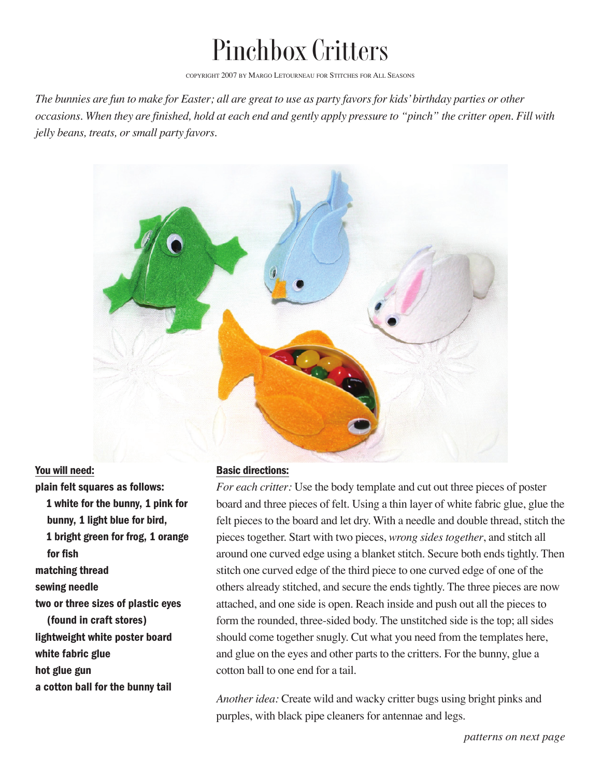## Pinchbox Critters

COPYRIGHT 2007 BY MARGO LETOURNEAU FOR STITCHES FOR ALL SEASONS

*The bunnies are fun to make for Easter; all are great to use as party favors for kids'birthday parties or other occasions. When they are finished, hold at each end and gently apply pressure to "pinch" the critter open. Fill with jelly beans, treats, or small party favors.* 



You will need: plain felt squares as follows: 1 white for the bunny, 1 pink for bunny, 1 light blue for bird, 1 bright green for frog, 1 orange for fish matching thread sewing needle two or three sizes of plastic eyes (found in craft stores) lightweight white poster board white fabric glue hot glue gun a cotton ball for the bunny tail

## Basic directions:

*For each critter:* Use the body template and cut out three pieces of poster board and three pieces of felt. Using a thin layer of white fabric glue, glue the felt pieces to the board and let dry. With a needle and double thread, stitch the pieces together. Start with two pieces, *wrong sides together*, and stitch all around one curved edge using a blanket stitch. Secure both ends tightly. Then stitch one curved edge of the third piece to one curved edge of one of the others already stitched, and secure the ends tightly. The three pieces are now attached, and one side is open. Reach inside and push out all the pieces to form the rounded, three-sided body. The unstitched side is the top; all sides should come together snugly. Cut what you need from the templates here, and glue on the eyes and other parts to the critters. For the bunny, glue a cotton ball to one end for a tail.

*Another idea:* Create wild and wacky critter bugs using bright pinks and purples, with black pipe cleaners for antennae and legs.